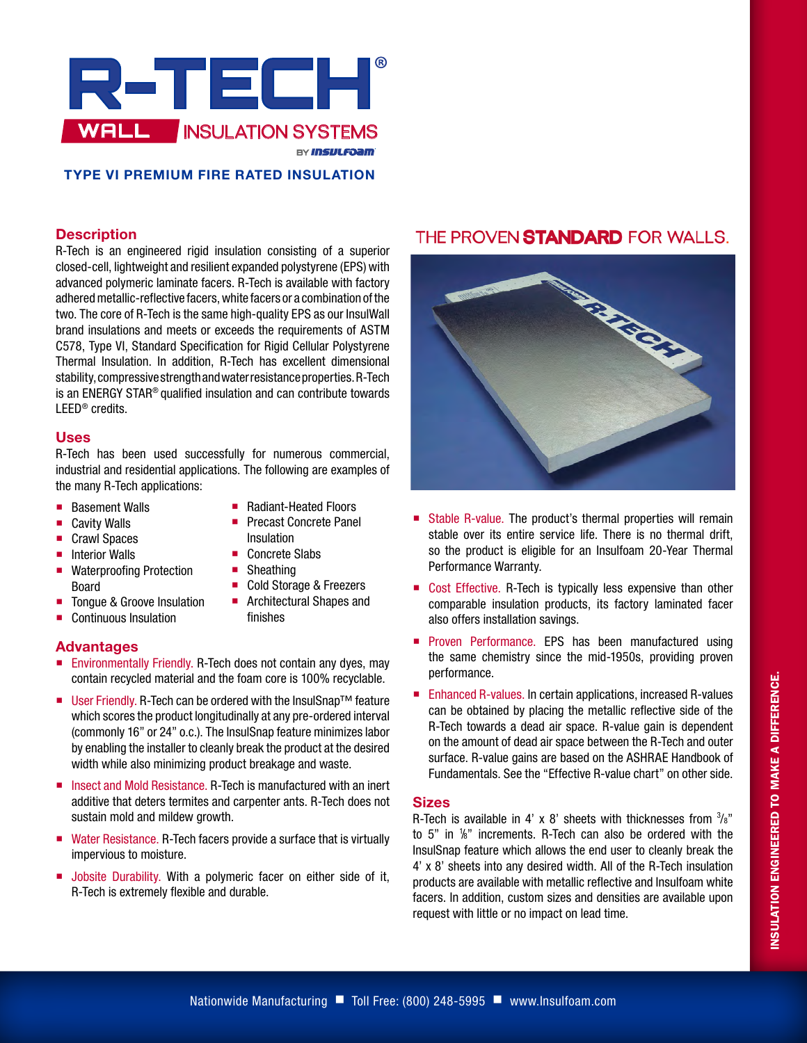

### **TYPE VI PREMIUM FIRE RATED INSULATION**

#### **Description**

R-Tech is an engineered rigid insulation consisting of a superior closed-cell, lightweight and resilient expanded polystyrene (EPS) with advanced polymeric laminate facers. R-Tech is available with factory adhered metallic-reflective facers, white facers or a combination of the two. The core of R-Tech is the same high-quality EPS as our InsulWall brand insulations and meets or exceeds the requirements of ASTM C578, Type VI, Standard Specification for Rigid Cellular Polystyrene Thermal Insulation. In addition, R-Tech has excellent dimensional stability, compressive strength and water resistance properties. R-Tech is an ENERGY STAR® qualified insulation and can contribute towards LEED® credits.

#### **Uses**

R-Tech has been used successfully for numerous commercial, industrial and residential applications. The following are examples of the many R-Tech applications:

> ■ Radiant-Heated Floors **Precast Concrete Panel**

■ Cold Storage & Freezers **Architectural Shapes and** 

Insulation ■ Concrete Slabs ■ Sheathing

finishes

- **Basement Walls**
- Cavity Walls
- Crawl Spaces
- $\blacksquare$  Interior Walls
- Waterproofing Protection Board
- Tongue & Groove Insulation
- Continuous Insulation

#### **Advantages**

- **Environmentally Friendly. R-Tech does not contain any dyes, may** contain recycled material and the foam core is 100% recyclable.
- User Friendly. R-Tech can be ordered with the InsulSnap<sup>™</sup> feature which scores the product longitudinally at any pre-ordered interval (commonly 16" or 24" o.c.). The InsulSnap feature minimizes labor by enabling the installer to cleanly break the product at the desired width while also minimizing product breakage and waste.
- Insect and Mold Resistance. R-Tech is manufactured with an inert additive that deters termites and carpenter ants. R-Tech does not sustain mold and mildew growth.
- Water Resistance. R-Tech facers provide a surface that is virtually impervious to moisture.
- **Jobsite Durability. With a polymeric facer on either side of it,** R-Tech is extremely flexible and durable.

# THE PROVEN STANDARD FOR WALLS.



- Stable R-value. The product's thermal properties will remain stable over its entire service life. There is no thermal drift, so the product is eligible for an Insulfoam 20-Year Thermal Performance Warranty.
- Cost Effective. R-Tech is typically less expensive than other comparable insulation products, its factory laminated facer also offers installation savings.
- **Proven Performance. EPS has been manufactured using** the same chemistry since the mid-1950s, providing proven performance.
- Enhanced R-values. In certain applications, increased R-values can be obtained by placing the metallic reflective side of the R-Tech towards a dead air space. R-value gain is dependent on the amount of dead air space between the R-Tech and outer surface. R-value gains are based on the ASHRAE Handbook of Fundamentals. See the "Effective R-value chart" on other side.

#### **Sizes**

R-Tech is available in 4' x 8' sheets with thicknesses from  $\frac{3}{8}$ " to 5" in 1 /8" increments. R-Tech can also be ordered with the InsulSnap feature which allows the end user to cleanly break the 4' x 8' sheets into any desired width. All of the R-Tech insulation products are available with metallic reflective and Insulfoam white facers. In addition, custom sizes and densities are available upon request with little or no impact on lead time.